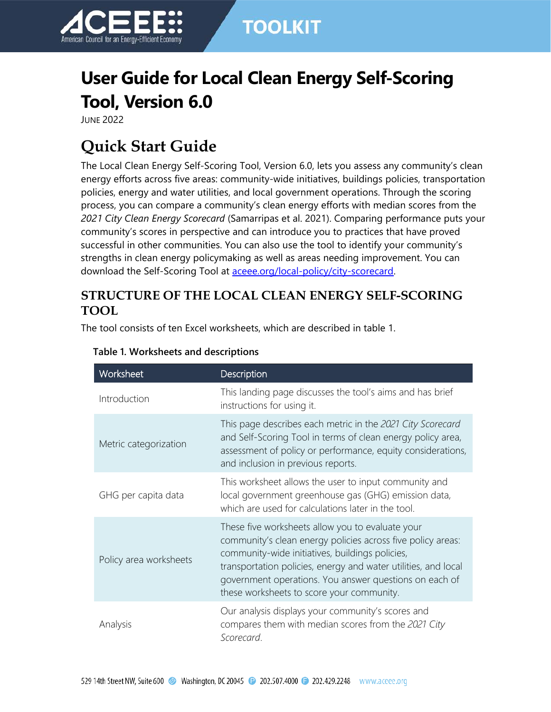

# **User Guide for Local Clean Energy Self-Scoring Tool, Version 6.0**

JUNE 2022

# **Quick Start Guide**

The Local Clean Energy Self-Scoring Tool, Version 6.0, lets you assess any community's clean energy efforts across five areas: community-wide initiatives, buildings policies, transportation policies, energy and water utilities, and local government operations. Through the scoring process, you can compare a community's clean energy efforts with median scores from the *2021 City Clean Energy Scorecard* (Samarripas et al. 2021). Comparing performance puts your community's scores in perspective and can introduce you to practices that have proved successful in other communities. You can also use the tool to identify your community's strengths in clean energy policymaking as well as areas needing improvement. You can download the Self-Scoring Tool at [aceee.org/local-policy/city-scorecard.](http://aceee.org/local-policy/city-scorecard)

## **STRUCTURE OF THE LOCAL CLEAN ENERGY SELF-SCORING TOOL**

The tool consists of ten Excel worksheets, which are described in table 1.

| Worksheet              | Description                                                                                                                                                                                                                                                                                                                                 |
|------------------------|---------------------------------------------------------------------------------------------------------------------------------------------------------------------------------------------------------------------------------------------------------------------------------------------------------------------------------------------|
| Introduction           | This landing page discusses the tool's aims and has brief<br>instructions for using it.                                                                                                                                                                                                                                                     |
| Metric categorization  | This page describes each metric in the 2021 City Scorecard<br>and Self-Scoring Tool in terms of clean energy policy area,<br>assessment of policy or performance, equity considerations,<br>and inclusion in previous reports.                                                                                                              |
| GHG per capita data    | This worksheet allows the user to input community and<br>local government greenhouse gas (GHG) emission data,<br>which are used for calculations later in the tool.                                                                                                                                                                         |
| Policy area worksheets | These five worksheets allow you to evaluate your<br>community's clean energy policies across five policy areas:<br>community-wide initiatives, buildings policies,<br>transportation policies, energy and water utilities, and local<br>government operations. You answer questions on each of<br>these worksheets to score your community. |
| Analysis               | Our analysis displays your community's scores and<br>compares them with median scores from the 2021 City<br>Scorecard.                                                                                                                                                                                                                      |

### **Table 1. Worksheets and descriptions**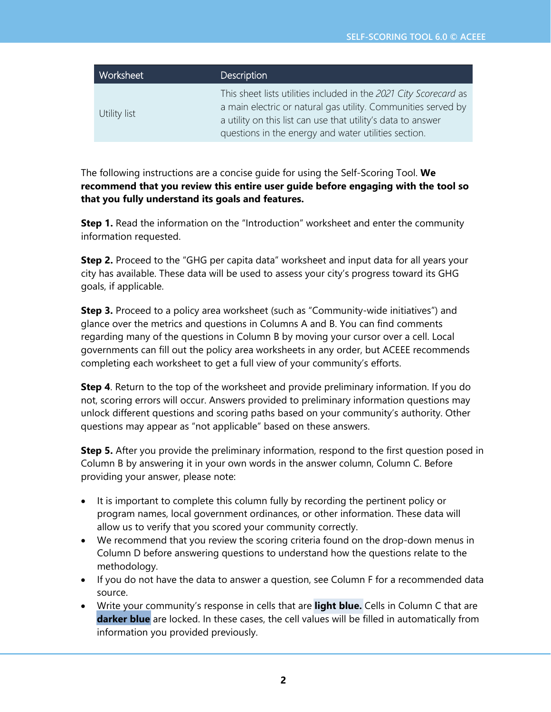| Worksheet    | <b>Description</b>                                                                                                                                                                                                                                         |
|--------------|------------------------------------------------------------------------------------------------------------------------------------------------------------------------------------------------------------------------------------------------------------|
| Utility list | This sheet lists utilities included in the 2021 City Scorecard as<br>a main electric or natural gas utility. Communities served by<br>a utility on this list can use that utility's data to answer<br>questions in the energy and water utilities section. |

The following instructions are a concise guide for using the Self-Scoring Tool. **We recommend that you review this entire user guide before engaging with the tool so that you fully understand its goals and features.**

**Step 1.** Read the information on the "Introduction" worksheet and enter the community information requested.

**Step 2.** Proceed to the "GHG per capita data" worksheet and input data for all years your city has available. These data will be used to assess your city's progress toward its GHG goals, if applicable.

**Step 3.** Proceed to a policy area worksheet (such as "Community-wide initiatives") and glance over the metrics and questions in Columns A and B. You can find comments regarding many of the questions in Column B by moving your cursor over a cell. Local governments can fill out the policy area worksheets in any order, but ACEEE recommends completing each worksheet to get a full view of your community's efforts.

**Step 4**. Return to the top of the worksheet and provide preliminary information. If you do not, scoring errors will occur. Answers provided to preliminary information questions may unlock different questions and scoring paths based on your community's authority. Other questions may appear as "not applicable" based on these answers.

**Step 5.** After you provide the preliminary information, respond to the first question posed in Column B by answering it in your own words in the answer column, Column C. Before providing your answer, please note:

- It is important to complete this column fully by recording the pertinent policy or program names, local government ordinances, or other information. These data will allow us to verify that you scored your community correctly.
- We recommend that you review the scoring criteria found on the drop-down menus in Column D before answering questions to understand how the questions relate to the methodology.
- If you do not have the data to answer a question, see Column F for a recommended data source.
- Write your community's response in cells that are **light blue.** Cells in Column C that are **darker blue** are locked. In these cases, the cell values will be filled in automatically from information you provided previously.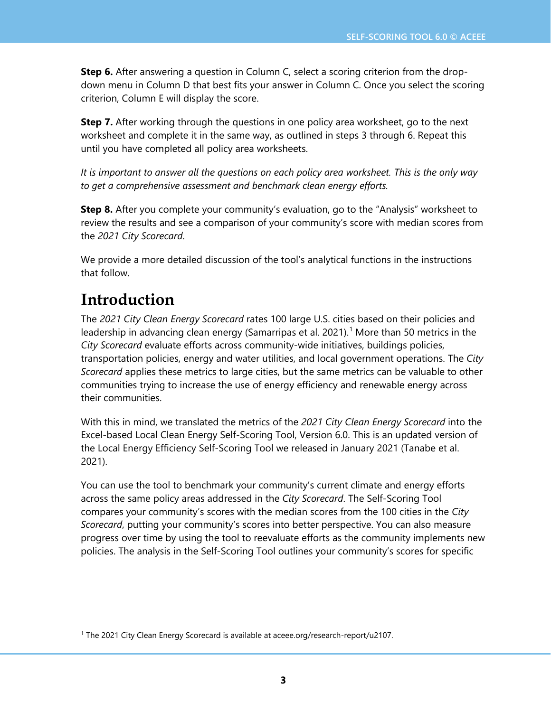**Step 6.** After answering a question in Column C, select a scoring criterion from the dropdown menu in Column D that best fits your answer in Column C. Once you select the scoring criterion, Column E will display the score.

**Step 7.** After working through the questions in one policy area worksheet, go to the next worksheet and complete it in the same way, as outlined in steps 3 through 6. Repeat this until you have completed all policy area worksheets.

*It is important to answer all the questions on each policy area worksheet. This is the only way to get a comprehensive assessment and benchmark clean energy efforts.*

**Step 8.** After you complete your community's evaluation, go to the "Analysis" worksheet to review the results and see a comparison of your community's score with median scores from the *2021 City Scorecard*.

We provide a more detailed discussion of the tool's analytical functions in the instructions that follow.

## **Introduction**

The *2021 City Clean Energy Scorecard* rates 100 large U.S. cities based on their policies and leadership in advancing clean energy (Samarripas et al. 202[1](#page-2-0)).<sup>1</sup> More than 50 metrics in the *City Scorecard* evaluate efforts across community-wide initiatives, buildings policies, transportation policies, energy and water utilities, and local government operations. The *City Scorecard* applies these metrics to large cities, but the same metrics can be valuable to other communities trying to increase the use of energy efficiency and renewable energy across their communities.

With this in mind, we translated the metrics of the *2021 City Clean Energy Scorecard* into the Excel-based Local Clean Energy Self-Scoring Tool, Version 6.0. This is an updated version of the Local Energy Efficiency Self-Scoring Tool we released in January 2021 (Tanabe et al. 2021).

You can use the tool to benchmark your community's current climate and energy efforts across the same policy areas addressed in the *City Scorecard*. The Self-Scoring Tool compares your community's scores with the median scores from the 100 cities in the *City Scorecard*, putting your community's scores into better perspective. You can also measure progress over time by using the tool to reevaluate efforts as the community implements new policies. The analysis in the Self-Scoring Tool outlines your community's scores for specific

<span id="page-2-0"></span><sup>&</sup>lt;sup>1</sup> The 2021 City Clean Energy Scorecard is available at [aceee.org/research-report/u2107.](https://www.aceee.org/research-report/u2107)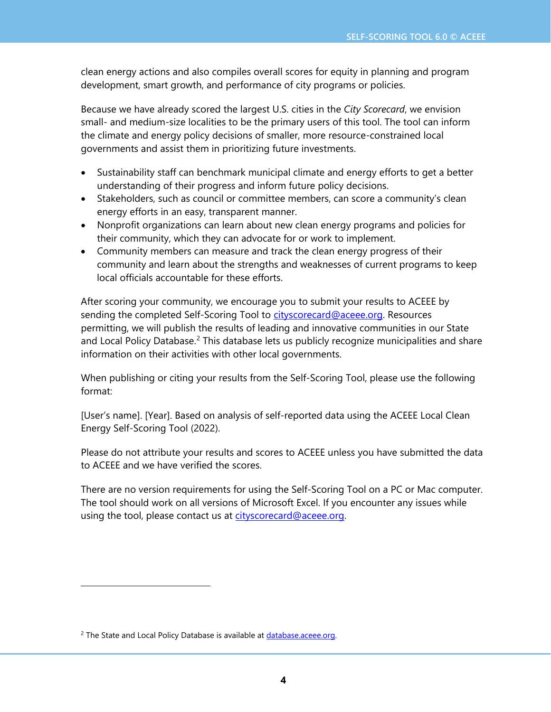clean energy actions and also compiles overall scores for equity in planning and program development, smart growth, and performance of city programs or policies.

Because we have already scored the largest U.S. cities in the *City Scorecard*, we envision small- and medium-size localities to be the primary users of this tool. The tool can inform the climate and energy policy decisions of smaller, more resource-constrained local governments and assist them in prioritizing future investments.

- Sustainability staff can benchmark municipal climate and energy efforts to get a better understanding of their progress and inform future policy decisions.
- Stakeholders, such as council or committee members, can score a community's clean energy efforts in an easy, transparent manner.
- Nonprofit organizations can learn about new clean energy programs and policies for their community, which they can advocate for or work to implement.
- Community members can measure and track the clean energy progress of their community and learn about the strengths and weaknesses of current programs to keep local officials accountable for these efforts.

After scoring your community, we encourage you to submit your results to ACEEE by sending the completed Self-Scoring Tool to [cityscorecard@aceee.org.](mailto:cityscorecard@aceee.org) Resources permitting, we will publish the results of leading and innovative communities in our State and Local Policy Database.<sup>[2](#page-3-0)</sup> This database lets us publicly recognize municipalities and share information on their activities with other local governments.

When publishing or citing your results from the Self-Scoring Tool, please use the following format:

[User's name]. [Year]. Based on analysis of self-reported data using the ACEEE Local Clean Energy Self-Scoring Tool (2022).

Please do not attribute your results and scores to ACEEE unless you have submitted the data to ACEEE and we have verified the scores.

There are no version requirements for using the Self-Scoring Tool on a PC or Mac computer. The tool should work on all versions of Microsoft Excel. If you encounter any issues while using the tool, please contact us at [cityscorecard@aceee.org.](mailto:cityscorecard@aceee.org)

<span id="page-3-0"></span><sup>&</sup>lt;sup>2</sup> The State and Local Policy Database is available at database.aceee.org.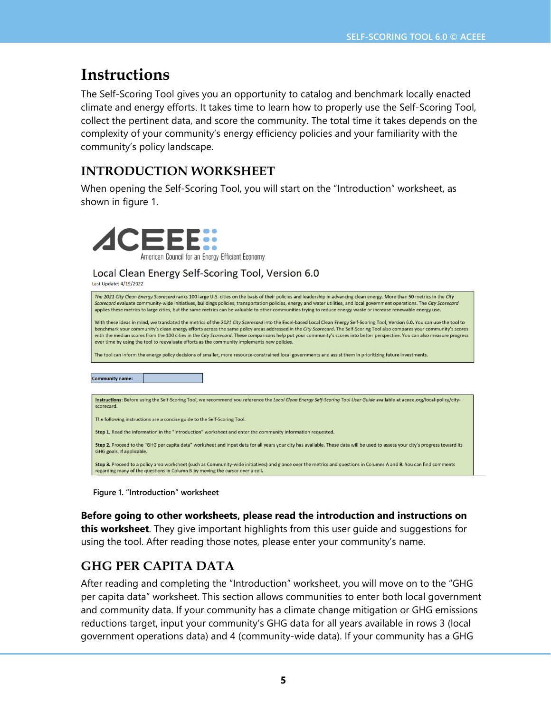## **Instructions**

The Self-Scoring Tool gives you an opportunity to catalog and benchmark locally enacted climate and energy efforts. It takes time to learn how to properly use the Self-Scoring Tool, collect the pertinent data, and score the community. The total time it takes depends on the complexity of your community's energy efficiency policies and your familiarity with the community's policy landscape.

## **INTRODUCTION WORKSHEET**

When opening the Self-Scoring Tool, you will start on the "Introduction" worksheet, as shown in figure 1.



### Local Clean Energy Self-Scoring Tool, Version 6.0

Last Update: 4/19/2022

| The 2021 City Clean Energy Scorecard ranks 100 large U.S. cities on the basis of their policies and leadership in advancing clean energy. More than 50 metrics in the City<br>Scorecard evaluate community-wide initiatives, buildings policies, transportation policies, energy and water utilities, and local government operations. The City Scorecard<br>applies these metrics to large cities, but the same metrics can be valuable to other communities trying to reduce energy waste or increase renewable energy use.                                                                                                             |  |  |  |  |  |
|-------------------------------------------------------------------------------------------------------------------------------------------------------------------------------------------------------------------------------------------------------------------------------------------------------------------------------------------------------------------------------------------------------------------------------------------------------------------------------------------------------------------------------------------------------------------------------------------------------------------------------------------|--|--|--|--|--|
| With these ideas in mind, we translated the metrics of the 2021 City Scorecard into the Excel-based Local Clean Energy Self-Scoring Tool, Version 6.0. You can use the tool to<br>benchmark your community's clean energy efforts across the same policy areas addressed in the City Scorecard. The Self-Scoring Tool also compares your community's scores<br>with the median scores from the 100 cities in the City Scorecard. These comparisons help put your community's scores into better perspective. You can also measure progress<br>over time by using the tool to reevaluate efforts as the community implements new policies. |  |  |  |  |  |
| The tool can inform the energy policy decisions of smaller, more resource-constrained local governments and assist them in prioritizing future investments.                                                                                                                                                                                                                                                                                                                                                                                                                                                                               |  |  |  |  |  |
|                                                                                                                                                                                                                                                                                                                                                                                                                                                                                                                                                                                                                                           |  |  |  |  |  |
| <b>Community name:</b>                                                                                                                                                                                                                                                                                                                                                                                                                                                                                                                                                                                                                    |  |  |  |  |  |
|                                                                                                                                                                                                                                                                                                                                                                                                                                                                                                                                                                                                                                           |  |  |  |  |  |
| Instructions: Before using the Self-Scoring Tool, we recommend you reference the Local Clean Energy Self-Scoring Tool User Guide available at aceee.org/local-policy/city-<br>scorecard.                                                                                                                                                                                                                                                                                                                                                                                                                                                  |  |  |  |  |  |
| The following instructions are a concise guide to the Self-Scoring Tool.                                                                                                                                                                                                                                                                                                                                                                                                                                                                                                                                                                  |  |  |  |  |  |
| Step 1. Read the information in the "Introduction" worksheet and enter the community information requested.                                                                                                                                                                                                                                                                                                                                                                                                                                                                                                                               |  |  |  |  |  |
| Step 2. Proceed to the "GHG per capita data" worksheet and input data for all years your city has available. These data will be used to assess your city's progress toward its<br>GHG goals, if applicable.                                                                                                                                                                                                                                                                                                                                                                                                                               |  |  |  |  |  |
| Step 3. Proceed to a policy area worksheet (such as Community-wide initiatives) and glance over the metrics and questions in Columns A and B. You can find comments<br>regarding many of the questions in Column B by moving the cursor over a cell                                                                                                                                                                                                                                                                                                                                                                                       |  |  |  |  |  |

**Figure 1. "Introduction" worksheet**

**Before going to other worksheets, please read the introduction and instructions on this worksheet**. They give important highlights from this user guide and suggestions for using the tool. After reading those notes, please enter your community's name.

## **GHG PER CAPITA DATA**

After reading and completing the "Introduction" worksheet, you will move on to the "GHG per capita data" worksheet. This section allows communities to enter both local government and community data. If your community has a climate change mitigation or GHG emissions reductions target, input your community's GHG data for all years available in rows 3 (local government operations data) and 4 (community-wide data). If your community has a GHG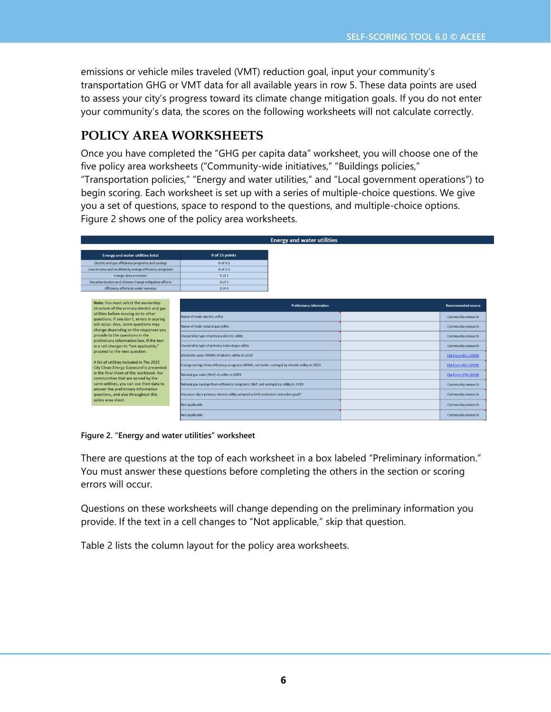emissions or vehicle miles traveled (VMT) reduction goal, input your community's transportation GHG or VMT data for all available years in row 5. These data points are used to assess your city's progress toward its climate change mitigation goals. If you do not enter your community's data, the scores on the following worksheets will not calculate correctly.

### **POLICY AREA WORKSHEETS**

Once you have completed the "GHG per capita data" worksheet, you will choose one of the five policy area worksheets ("Community-wide initiatives," "Buildings policies," "Transportation policies," "Energy and water utilities," and "Local government operations") to begin scoring. Each worksheet is set up with a series of multiple-choice questions. We give you a set of questions, space to respond to the questions, and multiple-choice options. Figure 2 shows one of the policy area worksheets.

|                                                                                                                                                                                      |                                                                                    | <b>Energy and water utilities</b> |                           |
|--------------------------------------------------------------------------------------------------------------------------------------------------------------------------------------|------------------------------------------------------------------------------------|-----------------------------------|---------------------------|
| <b>Energy and water utilities total</b>                                                                                                                                              | 0 of 15 points                                                                     |                                   |                           |
|                                                                                                                                                                                      | $0$ of 4.5                                                                         |                                   |                           |
| Electric and gas efficiency programs and savings                                                                                                                                     |                                                                                    |                                   |                           |
| Low-income and multifamily energy efficiency programs<br><b>Energy data provision</b>                                                                                                | 0 of 2.5<br>$0$ of 1                                                               |                                   |                           |
| Decarbonization and climate change mitigation efforts                                                                                                                                | $0$ of $3$                                                                         |                                   |                           |
| Efficiency efforts in water services                                                                                                                                                 | $00$ of 4                                                                          |                                   |                           |
|                                                                                                                                                                                      |                                                                                    |                                   |                           |
| Note: You must select the ownership<br>structure of the primary electric and gas                                                                                                     |                                                                                    | <b>Preliminary information</b>    | <b>Recommended source</b> |
| utilities before moving on to other<br>questions. If you don't, errors in scoring                                                                                                    | Name of main electric utility                                                      |                                   | <b>Community research</b> |
| will occur. Also, some questions may<br>change depending on the responses you                                                                                                        | Name of main natural gas utility                                                   |                                   | <b>Community research</b> |
| provide to the questions in the<br>preliminary information box. If the text                                                                                                          | Ownership type of primary electric utility                                         |                                   | <b>Community research</b> |
| in a cell changes to "not applicable,"                                                                                                                                               | Ownership type of primary natural gas utility                                      |                                   | Community research        |
| proceed to the next question.                                                                                                                                                        | Electricity sales (MWh) of electric utility in 2019                                |                                   | EIA Form 861 (2019)       |
| A list of utilities included in The 2021<br>Energy savings from efficiency programs (MWh, net meter savings) by electric utility in 2019<br>City Clean Energy Scorecard is presented |                                                                                    |                                   | EIA Form 861 (2019)       |
| in the final sheet of this workbook. For<br>communities that are served by the                                                                                                       | Natural gas sales (Mcf) of utility in 2019                                         |                                   | EIA Form 176 (2019)       |
| same utilities, you can use their data to                                                                                                                                            | Natural gas savings from efficiency programs (Mcf, net savings) by utility in 2019 |                                   | <b>Community research</b> |
| answer the preliminary information<br>questions, and also throughout this                                                                                                            | Has your city's primary electric utility adopted a GHG emissions reduction goal?   |                                   | <b>Community research</b> |
| policy area sheet.<br>Not applicable<br>Not applicable                                                                                                                               |                                                                                    |                                   | Community research        |
|                                                                                                                                                                                      |                                                                                    | <b>Community research</b>         |                           |

**Figure 2. "Energy and water utilities" worksheet**

There are questions at the top of each worksheet in a box labeled "Preliminary information." You must answer these questions before completing the others in the section or scoring errors will occur.

Questions on these worksheets will change depending on the preliminary information you provide. If the text in a cell changes to "Not applicable," skip that question.

Table 2 lists the column layout for the policy area worksheets.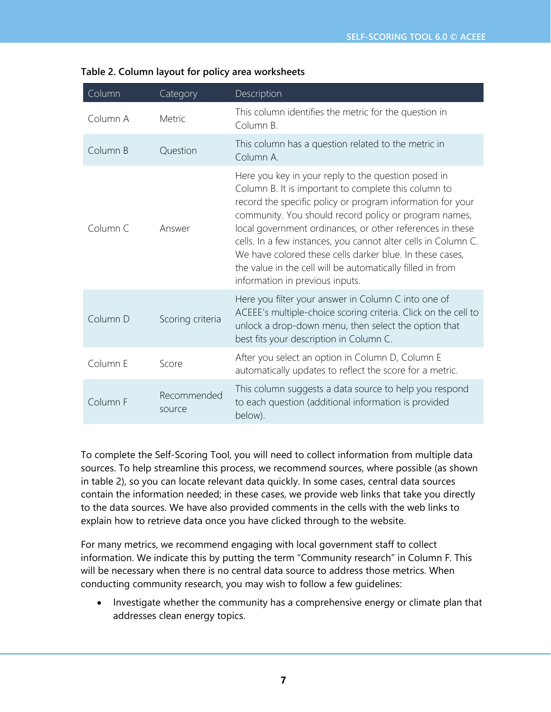| Column   | Category              | Description                                                                                                                                                                                                                                                                                                                                                                                                                                                                                                                    |
|----------|-----------------------|--------------------------------------------------------------------------------------------------------------------------------------------------------------------------------------------------------------------------------------------------------------------------------------------------------------------------------------------------------------------------------------------------------------------------------------------------------------------------------------------------------------------------------|
| Column A | Metric                | This column identifies the metric for the question in<br>Column B.                                                                                                                                                                                                                                                                                                                                                                                                                                                             |
| Column B | Question              | This column has a question related to the metric in<br>Column A.                                                                                                                                                                                                                                                                                                                                                                                                                                                               |
| Column C | Answer                | Here you key in your reply to the question posed in<br>Column B. It is important to complete this column to<br>record the specific policy or program information for your<br>community. You should record policy or program names,<br>local government ordinances, or other references in these<br>cells. In a few instances, you cannot alter cells in Column C.<br>We have colored these cells darker blue. In these cases,<br>the value in the cell will be automatically filled in from<br>information in previous inputs. |
| Column D | Scoring criteria      | Here you filter your answer in Column C into one of<br>ACEEE's multiple-choice scoring criteria. Click on the cell to<br>unlock a drop-down menu, then select the option that<br>best fits your description in Column C.                                                                                                                                                                                                                                                                                                       |
| Column E | Score                 | After you select an option in Column D, Column E<br>automatically updates to reflect the score for a metric.                                                                                                                                                                                                                                                                                                                                                                                                                   |
| Column F | Recommended<br>source | This column suggests a data source to help you respond<br>to each question (additional information is provided<br>below).                                                                                                                                                                                                                                                                                                                                                                                                      |

| Table 2. Column layout for policy area worksheets |  |  |  |
|---------------------------------------------------|--|--|--|
|---------------------------------------------------|--|--|--|

To complete the Self-Scoring Tool, you will need to collect information from multiple data sources. To help streamline this process, we recommend sources, where possible (as shown in table 2), so you can locate relevant data quickly. In some cases, central data sources contain the information needed; in these cases, we provide web links that take you directly to the data sources. We have also provided comments in the cells with the web links to explain how to retrieve data once you have clicked through to the website.

For many metrics, we recommend engaging with local government staff to collect information. We indicate this by putting the term "Community research" in Column F. This will be necessary when there is no central data source to address those metrics. When conducting community research, you may wish to follow a few guidelines:

• Investigate whether the community has a comprehensive energy or climate plan that addresses clean energy topics.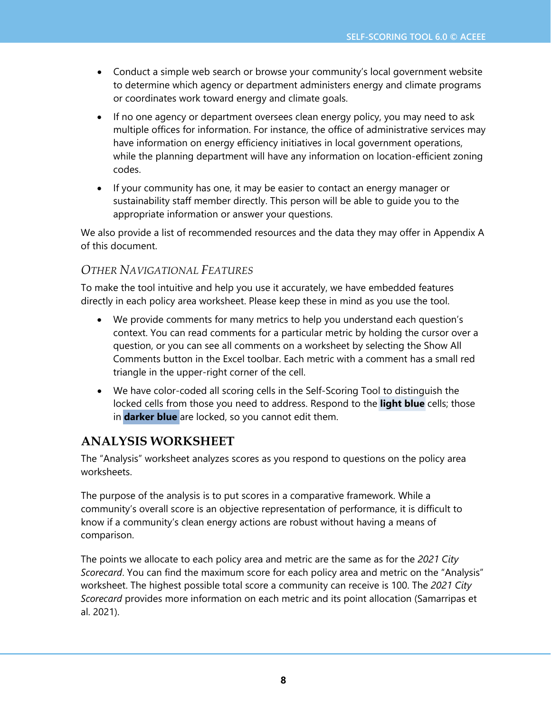- Conduct a simple web search or browse your community's local government website to determine which agency or department administers energy and climate programs or coordinates work toward energy and climate goals.
- If no one agency or department oversees clean energy policy, you may need to ask multiple offices for information. For instance, the office of administrative services may have information on energy efficiency initiatives in local government operations, while the planning department will have any information on location-efficient zoning codes.
- If your community has one, it may be easier to contact an energy manager or sustainability staff member directly. This person will be able to guide you to the appropriate information or answer your questions.

We also provide a list of recommended resources and the data they may offer in Appendix A of this document.

### *OTHER NAVIGATIONAL FEATURES*

To make the tool intuitive and help you use it accurately, we have embedded features directly in each policy area worksheet. Please keep these in mind as you use the tool.

- We provide comments for many metrics to help you understand each question's context. You can read comments for a particular metric by holding the cursor over a question, or you can see all comments on a worksheet by selecting the Show All Comments button in the Excel toolbar. Each metric with a comment has a small red triangle in the upper-right corner of the cell.
- We have color-coded all scoring cells in the Self-Scoring Tool to distinguish the locked cells from those you need to address. Respond to the **light blue** cells; those in **darker blue** are locked, so you cannot edit them.

## **ANALYSIS WORKSHEET**

The "Analysis" worksheet analyzes scores as you respond to questions on the policy area worksheets.

The purpose of the analysis is to put scores in a comparative framework. While a community's overall score is an objective representation of performance, it is difficult to know if a community's clean energy actions are robust without having a means of comparison.

The points we allocate to each policy area and metric are the same as for the *2021 City Scorecard*. You can find the maximum score for each policy area and metric on the "Analysis" worksheet. The highest possible total score a community can receive is 100. The *2021 City Scorecard* provides more information on each metric and its point allocation (Samarripas et al. 2021).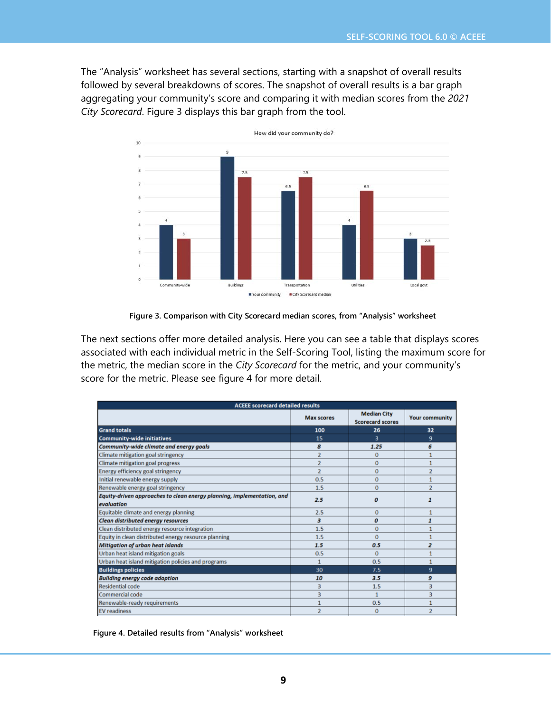The "Analysis" worksheet has several sections, starting with a snapshot of overall results followed by several breakdowns of scores. The snapshot of overall results is a bar graph aggregating your community's score and comparing it with median scores from the *2021 City Scorecard*. Figure 3 displays this bar graph from the tool.



**Figure 3. Comparison with City Scorecard median scores, from "Analysis" worksheet**

The next sections offer more detailed analysis. Here you can see a table that displays scores associated with each individual metric in the Self-Scoring Tool, listing the maximum score for the metric, the median score in the *City Scorecard* for the metric, and your community's score for the metric. Please see figure 4 for more detail.

| <b>ACEEE scorecard detailed results</b>                                              |                   |                                               |                       |  |
|--------------------------------------------------------------------------------------|-------------------|-----------------------------------------------|-----------------------|--|
|                                                                                      | <b>Max scores</b> | <b>Median City</b><br><b>Scorecard scores</b> | <b>Your community</b> |  |
| <b>Grand totals</b>                                                                  | 100               | 26                                            | 32                    |  |
| <b>Community-wide initiatives</b>                                                    | 15                | 3                                             | 9                     |  |
| Community-wide climate and energy goals                                              | 8                 | 1.25                                          | 6                     |  |
| <b>Climate mitigation goal stringency</b>                                            | $\overline{2}$    | $\Omega$                                      |                       |  |
| Climate mitigation goal progress                                                     | $\overline{2}$    | $\Omega$                                      | $\mathbf{1}$          |  |
| Energy efficiency goal stringency                                                    | $\overline{2}$    | $\Omega$                                      | $\overline{2}$        |  |
| Initial renewable energy supply                                                      | 0.5               | $\Omega$                                      | 1                     |  |
| Renewable energy goal stringency                                                     | 1.5               | $\Omega$                                      | $\overline{2}$        |  |
| Equity-driven approaches to clean energy planning, implementation, and<br>evaluation | 2.5               | $\boldsymbol{0}$                              | 1                     |  |
| Equitable climate and energy planning                                                | 2.5               | $\Omega$                                      |                       |  |
| Clean distributed energy resources                                                   | 3                 | 0                                             | 1                     |  |
| Clean distributed energy resource integration                                        | 1.5               | $\Omega$                                      | 1                     |  |
| Equity in clean distributed energy resource planning                                 | 1.5               | $\Omega$                                      |                       |  |
| <b>Mitigation of urban heat islands</b>                                              | 1.5               | 0.5                                           | $\overline{a}$        |  |
| Urban heat island mitigation goals                                                   | 0.5               | $\Omega$                                      |                       |  |
| Urban heat island mitigation policies and programs                                   | $\mathbf{1}$      | 0.5                                           |                       |  |
| <b>Buildings policies</b>                                                            | 30                | 7.5                                           | 9                     |  |
| <b>Building energy code adoption</b>                                                 | 10                | 3.5                                           | 9                     |  |
| <b>Residential code</b>                                                              | 3                 | 1.5                                           | 3                     |  |
| Commercial code                                                                      | 3                 | $\mathbf{1}$                                  | 3                     |  |
| Renewable-ready requirements                                                         | 1                 | 0.5                                           | 1                     |  |
| <b>EV</b> readiness                                                                  | $\overline{2}$    | $\Omega$                                      | $\overline{2}$        |  |

**Figure 4. Detailed results from "Analysis" worksheet**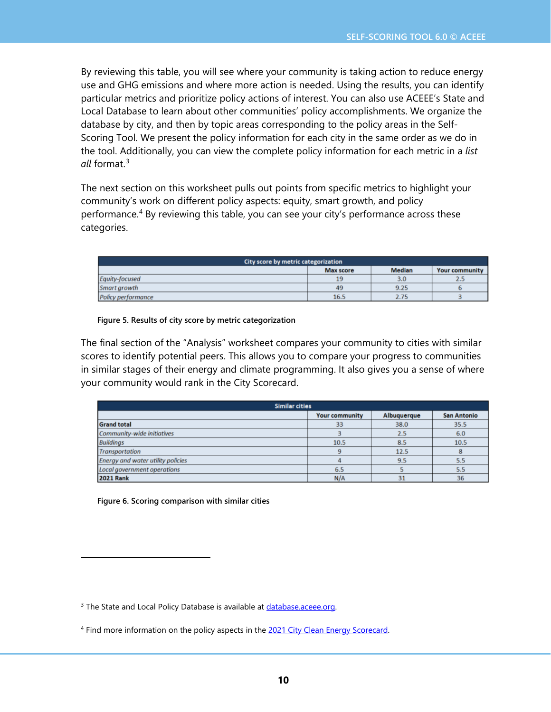By reviewing this table, you will see where your community is taking action to reduce energy use and GHG emissions and where more action is needed. Using the results, you can identify particular metrics and prioritize policy actions of interest. You can also use ACEEE's State and Local Database to learn about other communities' policy accomplishments. We organize the database by city, and then by topic areas corresponding to the policy areas in the Self-Scoring Tool. We present the policy information for each city in the same order as we do in the tool. Additionally, you can view the complete policy information for each metric in a *list all* format.[3](#page-9-0)

The next section on this worksheet pulls out points from specific metrics to highlight your community's work on different policy aspects: equity, smart growth, and policy performance.<sup>[4](#page-9-1)</sup> By reviewing this table, you can see your city's performance across these categories.

| City score by metric categorization                 |      |      |     |  |  |
|-----------------------------------------------------|------|------|-----|--|--|
| Median<br><b>Max score</b><br><b>Your community</b> |      |      |     |  |  |
| Equity-focused                                      | 19   | 3.0  | 2.5 |  |  |
| Smart arowth                                        | 49   | 9.25 |     |  |  |
| <b>Policy performance</b>                           | 16.5 | 2.75 |     |  |  |

**Figure 5. Results of city score by metric categorization**

The final section of the "Analysis" worksheet compares your community to cities with similar scores to identify potential peers. This allows you to compare your progress to communities in similar stages of their energy and climate programming. It also gives you a sense of where your community would rank in the City Scorecard.

| <b>Similar cities</b>                                      |      |      |      |  |  |
|------------------------------------------------------------|------|------|------|--|--|
| Albuquerque<br><b>San Antonio</b><br><b>Your community</b> |      |      |      |  |  |
| <b>Grand total</b>                                         | 33   | 38.0 | 35.5 |  |  |
| Community-wide initiatives                                 |      | 2.5  | 6.0  |  |  |
| <b>Buildings</b>                                           | 10.5 | 8.5  | 10.5 |  |  |
| <b>Transportation</b>                                      |      | 12.5 |      |  |  |
| <b>Energy and water utility policies</b>                   |      | 9.5  | 5.5  |  |  |
| Local government operations                                | 6.5  |      | 5.5  |  |  |
| <b>2021 Rank</b>                                           | N/A  | 31   | 36   |  |  |

**Figure 6. Scoring comparison with similar cities**

<span id="page-9-0"></span><sup>&</sup>lt;sup>3</sup> The State and Local Policy Database is available at database.aceee.org.

<span id="page-9-1"></span><sup>&</sup>lt;sup>4</sup> Find more information on the policy aspects in the 2021 City Clean Energy [Scorecard.](https://www.aceee.org/city-clean-energy-scorecard)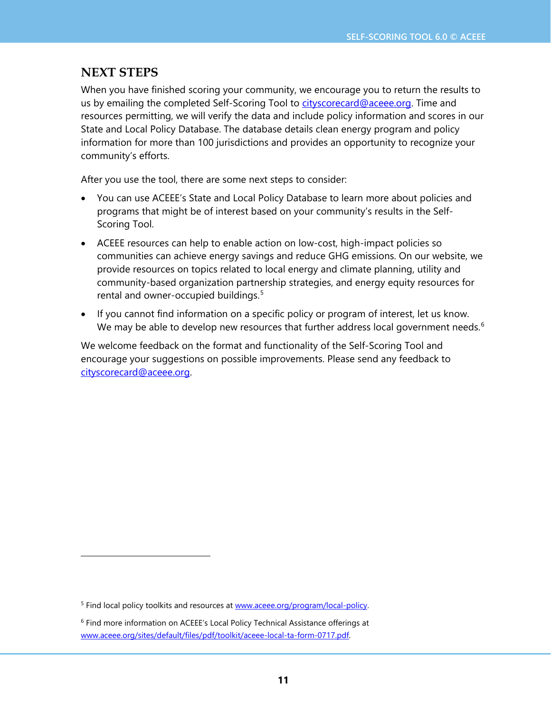## **NEXT STEPS**

When you have finished scoring your community, we encourage you to return the results to us by emailing the completed Self-Scoring Tool to [cityscorecard@aceee.org.](mailto:cityscorecard@aceee.org) Time and resources permitting, we will verify the data and include policy information and scores in our State and Local Policy Database. The database details clean energy program and policy information for more than 100 jurisdictions and provides an opportunity to recognize your community's efforts.

After you use the tool, there are some next steps to consider:

- You can use ACEEE's State and Local Policy Database to learn more about policies and programs that might be of interest based on your community's results in the Self-Scoring Tool.
- ACEEE resources can help to enable action on low-cost, high-impact policies so communities can achieve energy savings and reduce GHG emissions. On our website, we provide resources on topics related to local energy and climate planning, utility and community-based organization partnership strategies, and energy equity resources for rental and owner-occupied buildings. [5](#page-10-0)
- If you cannot find information on a specific policy or program of interest, let us know. We may be able to develop new resources that further address local government needs.<sup>[6](#page-10-1)</sup>

We welcome feedback on the format and functionality of the Self-Scoring Tool and encourage your suggestions on possible improvements. Please send any feedback to [cityscorecard@aceee.org.](mailto:cityscorecard@aceee.org)

<span id="page-10-0"></span><sup>&</sup>lt;sup>5</sup> Find local policy toolkits and resources at [www.aceee.org/program/local-policy.](http://www.aceee.org/program/local-policy)

<span id="page-10-1"></span><sup>&</sup>lt;sup>6</sup> Find more information on ACEEE's Local Policy Technical Assistance offerings at [www.aceee.org/sites/default/files/pdf/toolkit/aceee-local-ta-form-0717.pdf.](https://www.aceee.org/sites/default/files/pdf/toolkit/aceee-local-ta-form-0717.pdf)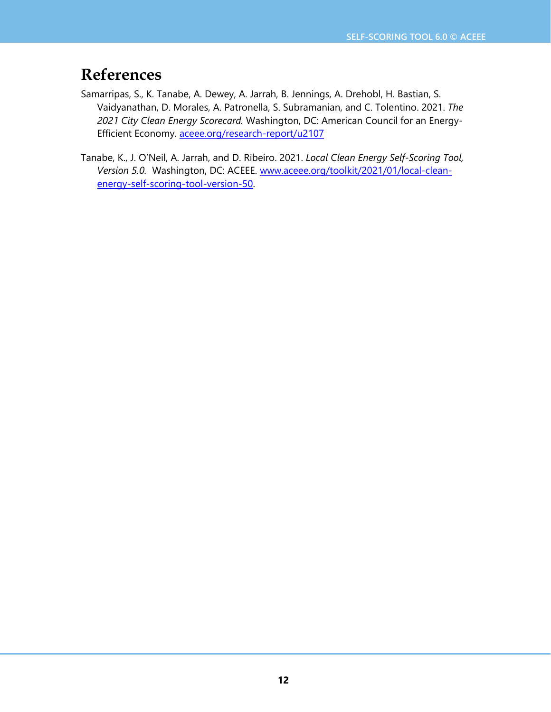## **References**

- Samarripas, S., K. Tanabe, A. Dewey, A. Jarrah, B. Jennings, A. Drehobl, H. Bastian, S. Vaidyanathan, D. Morales, A. Patronella, S. Subramanian, and C. Tolentino. 2021. *The 2021 City Clean Energy Scorecard.* Washington, DC: American Council for an Energy-Efficient Economy. [aceee.org/research-report/u2107](https://aceee.org/research-report/u2107)
- Tanabe, K., J. O'Neil, A. Jarrah, and D. Ribeiro. 2021. *Local Clean Energy Self-Scoring Tool, Version 5.0.* Washington, DC: ACEEE. [www.aceee.org/toolkit/2021/01/local-clean](https://www.aceee.org/toolkit/2021/01/local-clean-energy-self-scoring-tool-version-50)[energy-self-scoring-tool-version-50.](https://www.aceee.org/toolkit/2021/01/local-clean-energy-self-scoring-tool-version-50)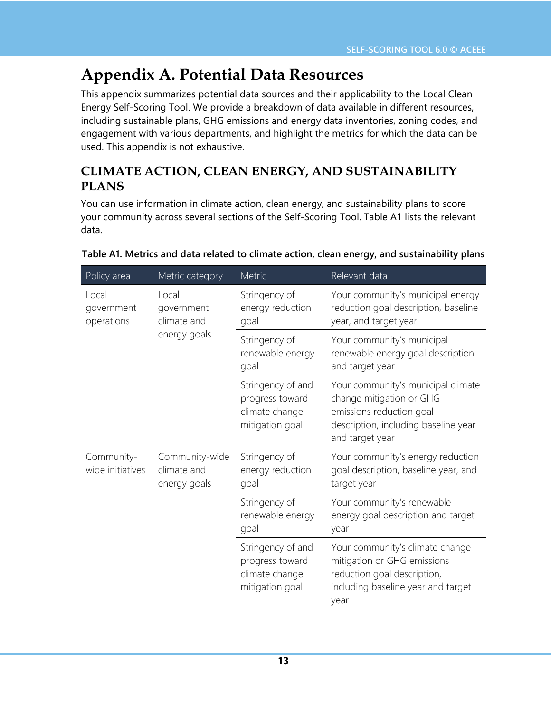# **Appendix A. Potential Data Resources**

This appendix summarizes potential data sources and their applicability to the Local Clean Energy Self-Scoring Tool. We provide a breakdown of data available in different resources, including sustainable plans, GHG emissions and energy data inventories, zoning codes, and engagement with various departments, and highlight the metrics for which the data can be used. This appendix is not exhaustive.

## **CLIMATE ACTION, CLEAN ENERGY, AND SUSTAINABILITY PLANS**

You can use information in climate action, clean energy, and sustainability plans to score your community across several sections of the Self-Scoring Tool. Table A1 lists the relevant data.

| Policy area                       | Metric category                                    | Metric                                                                    | Relevant data                                                                                                                                         |
|-----------------------------------|----------------------------------------------------|---------------------------------------------------------------------------|-------------------------------------------------------------------------------------------------------------------------------------------------------|
| Local<br>government<br>operations | Local<br>government<br>climate and<br>energy goals | Stringency of<br>energy reduction<br>goal                                 | Your community's municipal energy<br>reduction goal description, baseline<br>year, and target year                                                    |
|                                   |                                                    | Stringency of<br>renewable energy<br>goal                                 | Your community's municipal<br>renewable energy goal description<br>and target year                                                                    |
|                                   |                                                    | Stringency of and<br>progress toward<br>climate change<br>mitigation goal | Your community's municipal climate<br>change mitigation or GHG<br>emissions reduction goal<br>description, including baseline year<br>and target year |
| Community-<br>wide initiatives    | Community-wide<br>climate and<br>energy goals      | Stringency of<br>energy reduction<br>goal                                 | Your community's energy reduction<br>goal description, baseline year, and<br>target year                                                              |
|                                   |                                                    | Stringency of<br>renewable energy<br>goal                                 | Your community's renewable<br>energy goal description and target<br>year                                                                              |
|                                   |                                                    | Stringency of and<br>progress toward<br>climate change<br>mitigation goal | Your community's climate change<br>mitigation or GHG emissions<br>reduction goal description,<br>including baseline year and target<br>year           |

#### **Table A1. Metrics and data related to climate action, clean energy, and sustainability plans**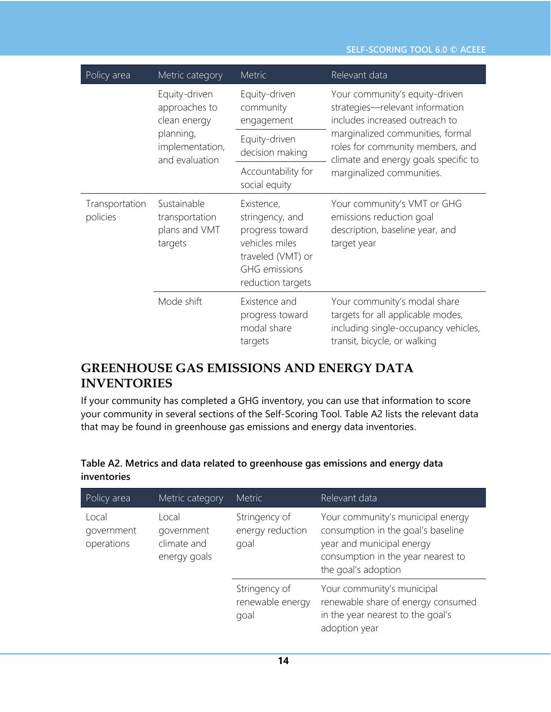#### **SELF-SCORING TOOL 6.0 © ACEEE**

| Policy area                | Metric category                                           | <b>Metric</b>                                                                                                                        | Relevant data                                                                                                                             |
|----------------------------|-----------------------------------------------------------|--------------------------------------------------------------------------------------------------------------------------------------|-------------------------------------------------------------------------------------------------------------------------------------------|
|                            | Equity-driven<br>approaches to<br>clean energy            | Equity-driven<br>community<br>engagement                                                                                             | Your community's equity-driven<br>strategies-relevant information<br>includes increased outreach to                                       |
|                            | planning,<br>implementation,<br>and evaluation            | Equity-driven<br>decision making                                                                                                     | marginalized communities, formal<br>roles for community members, and<br>climate and energy goals specific to                              |
|                            |                                                           | Accountability for<br>social equity                                                                                                  | marginalized communities.                                                                                                                 |
| Transportation<br>policies | Sustainable<br>transportation<br>plans and VMT<br>targets | Existence,<br>stringency, and<br>progress toward<br>vehicles miles<br>traveled (VMT) or<br><b>GHG</b> emissions<br>reduction targets | Your community's VMT or GHG<br>emissions reduction goal<br>description, baseline year, and<br>target year                                 |
|                            | Mode shift                                                | Existence and<br>progress toward<br>modal share<br>targets                                                                           | Your community's modal share<br>targets for all applicable modes,<br>including single-occupancy vehicles,<br>transit, bicycle, or walking |

## **GREENHOUSE GAS EMISSIONS AND ENERGY DATA INVENTORIES**

If your community has completed a GHG inventory, you can use that information to score your community in several sections of the Self-Scoring Tool. Table A2 lists the relevant data that may be found in greenhouse gas emissions and energy data inventories.

| Policy area                       | Metric category                                                    | <b>Metric</b>                     | Relevant data                                                                                                                                                     |
|-----------------------------------|--------------------------------------------------------------------|-----------------------------------|-------------------------------------------------------------------------------------------------------------------------------------------------------------------|
| Local<br>government<br>operations | Local<br>government<br>climate and<br>goal<br>energy goals<br>goal | Stringency of<br>energy reduction | Your community's municipal energy<br>consumption in the goal's baseline<br>year and municipal energy<br>consumption in the year nearest to<br>the goal's adoption |
|                                   |                                                                    | Stringency of<br>renewable energy | Your community's municipal<br>renewable share of energy consumed<br>in the year nearest to the goal's<br>adoption year                                            |

### **Table A2. Metrics and data related to greenhouse gas emissions and energy data inventories**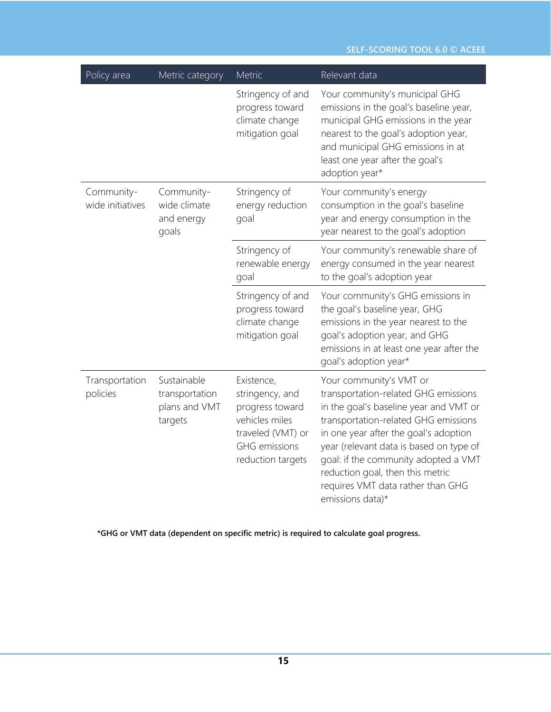| Policy area                    | Metric category                                           | Metric                                                                                                                               | Relevant data                                                                                                                                                                                                                                                                                                                                                              |  |
|--------------------------------|-----------------------------------------------------------|--------------------------------------------------------------------------------------------------------------------------------------|----------------------------------------------------------------------------------------------------------------------------------------------------------------------------------------------------------------------------------------------------------------------------------------------------------------------------------------------------------------------------|--|
|                                |                                                           | Stringency of and<br>progress toward<br>climate change<br>mitigation goal                                                            | Your community's municipal GHG<br>emissions in the goal's baseline year,<br>municipal GHG emissions in the year<br>nearest to the goal's adoption year,<br>and municipal GHG emissions in at<br>least one year after the goal's<br>adoption year*                                                                                                                          |  |
| Community-<br>wide initiatives | Community-<br>wide climate<br>and energy<br>goals         | Stringency of<br>energy reduction<br>goal                                                                                            | Your community's energy<br>consumption in the goal's baseline<br>year and energy consumption in the<br>year nearest to the goal's adoption                                                                                                                                                                                                                                 |  |
|                                |                                                           | Stringency of<br>renewable energy<br>goal                                                                                            | Your community's renewable share of<br>energy consumed in the year nearest<br>to the goal's adoption year                                                                                                                                                                                                                                                                  |  |
|                                |                                                           | Stringency of and<br>progress toward<br>climate change<br>mitigation goal                                                            | Your community's GHG emissions in<br>the goal's baseline year, GHG<br>emissions in the year nearest to the<br>goal's adoption year, and GHG<br>emissions in at least one year after the<br>goal's adoption year*                                                                                                                                                           |  |
| Transportation<br>policies     | Sustainable<br>transportation<br>plans and VMT<br>targets | Existence,<br>stringency, and<br>progress toward<br>vehicles miles<br>traveled (VMT) or<br><b>GHG</b> emissions<br>reduction targets | Your community's VMT or<br>transportation-related GHG emissions<br>in the goal's baseline year and VMT or<br>transportation-related GHG emissions<br>in one year after the goal's adoption<br>year (relevant data is based on type of<br>goal: if the community adopted a VMT<br>reduction goal, then this metric<br>requires VMT data rather than GHG<br>emissions data)* |  |

**\*GHG or VMT data (dependent on specific metric) is required to calculate goal progress.**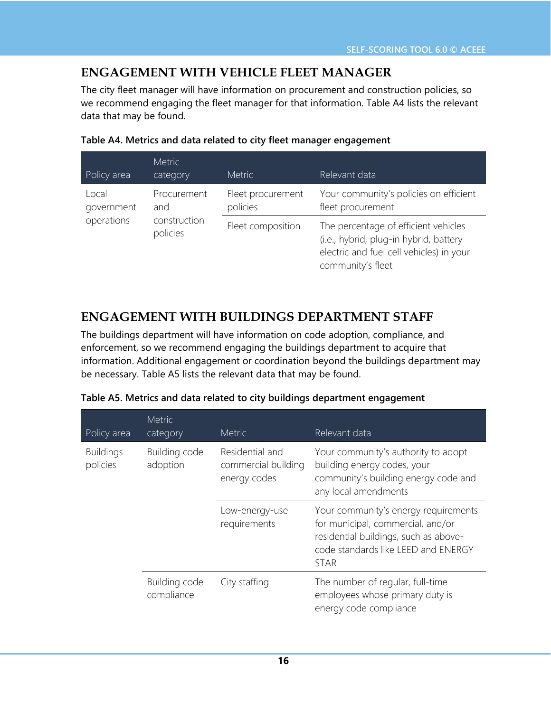## **ENGAGEMENT WITH VEHICLE FLEET MANAGER**

The city fleet manager will have information on procurement and construction policies, so we recommend engaging the fleet manager for that information. Table A4 lists the relevant data that may be found.

| Policy area                              | <b>Metric</b><br>category | <b>Metric</b>                 | Relevant data                                                                                                                                   |
|------------------------------------------|---------------------------|-------------------------------|-------------------------------------------------------------------------------------------------------------------------------------------------|
| Local<br>government<br>and<br>operations | Procurement               | Fleet procurement<br>policies | Your community's policies on efficient<br>fleet procurement                                                                                     |
|                                          | construction<br>policies  | Fleet composition             | The percentage of efficient vehicles<br>(i.e., hybrid, plug-in hybrid, battery<br>electric and fuel cell vehicles) in your<br>community's fleet |

#### **Table A4. Metrics and data related to city fleet manager engagement**

## **ENGAGEMENT WITH BUILDINGS DEPARTMENT STAFF**

The buildings department will have information on code adoption, compliance, and enforcement, so we recommend engaging the buildings department to acquire that information. Additional engagement or coordination beyond the buildings department may be necessary. Table A5 lists the relevant data that may be found.

| Policy area                  | <b>Metric</b><br>category   | <b>Metric</b>                                          | Relevant data                                                                                                                                                            |
|------------------------------|-----------------------------|--------------------------------------------------------|--------------------------------------------------------------------------------------------------------------------------------------------------------------------------|
| <b>Buildings</b><br>policies | Building code<br>adoption   | Residential and<br>commercial building<br>energy codes | Your community's authority to adopt<br>building energy codes, your<br>community's building energy code and<br>any local amendments                                       |
|                              |                             | Low-energy-use<br>requirements                         | Your community's energy requirements<br>for municipal, commercial, and/or<br>residential buildings, such as above-<br>code standards like LEED and ENERGY<br><b>STAR</b> |
|                              | Building code<br>compliance | City staffing                                          | The number of regular, full-time<br>employees whose primary duty is<br>energy code compliance                                                                            |

|  |  |  | Table A5. Metrics and data related to city buildings department engagement |
|--|--|--|----------------------------------------------------------------------------|
|  |  |  |                                                                            |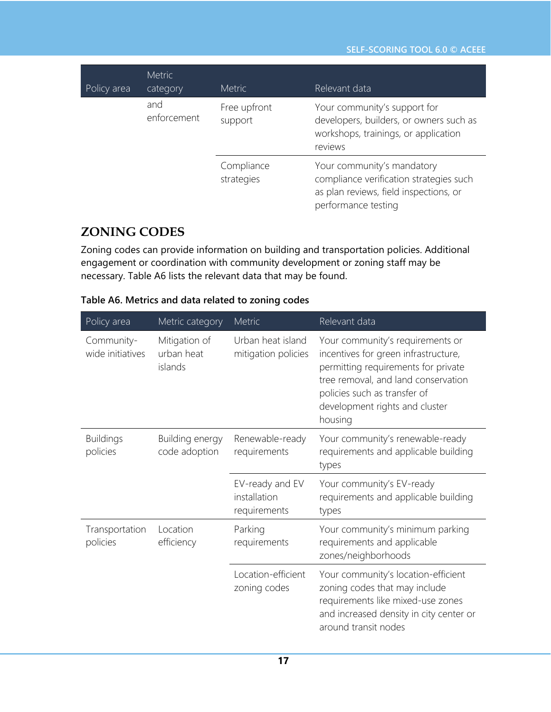| Policy area | <b>Metric</b><br>category | <b>Metric</b>            | Relevant data                                                                                                                          |
|-------------|---------------------------|--------------------------|----------------------------------------------------------------------------------------------------------------------------------------|
|             | and<br>enforcement        | Free upfront<br>support  | Your community's support for<br>developers, builders, or owners such as<br>workshops, trainings, or application<br>reviews             |
|             |                           | Compliance<br>strategies | Your community's mandatory<br>compliance verification strategies such<br>as plan reviews, field inspections, or<br>performance testing |

## **ZONING CODES**

Zoning codes can provide information on building and transportation policies. Additional engagement or coordination with community development or zoning staff may be necessary. Table A6 lists the relevant data that may be found.

| Table A6. Metrics and data related to zoning codes |  |  |  |
|----------------------------------------------------|--|--|--|
|----------------------------------------------------|--|--|--|

| Policy area                    | Metric category                        | Metric                                          | Relevant data                                                                                                                                                                                                                       |
|--------------------------------|----------------------------------------|-------------------------------------------------|-------------------------------------------------------------------------------------------------------------------------------------------------------------------------------------------------------------------------------------|
| Community-<br>wide initiatives | Mitigation of<br>urban heat<br>islands | Urban heat island<br>mitigation policies        | Your community's requirements or<br>incentives for green infrastructure,<br>permitting requirements for private<br>tree removal, and land conservation<br>policies such as transfer of<br>development rights and cluster<br>housing |
| <b>Buildings</b><br>policies   | Building energy<br>code adoption       | Renewable-ready<br>requirements                 | Your community's renewable-ready<br>requirements and applicable building<br>types                                                                                                                                                   |
|                                |                                        | EV-ready and EV<br>installation<br>requirements | Your community's EV-ready<br>requirements and applicable building<br>types                                                                                                                                                          |
| Transportation<br>policies     | Location<br>efficiency                 | Parking<br>requirements                         | Your community's minimum parking<br>requirements and applicable<br>zones/neighborhoods                                                                                                                                              |
|                                |                                        | Location-efficient<br>zoning codes              | Your community's location-efficient<br>zoning codes that may include<br>requirements like mixed-use zones<br>and increased density in city center or<br>around transit nodes                                                        |